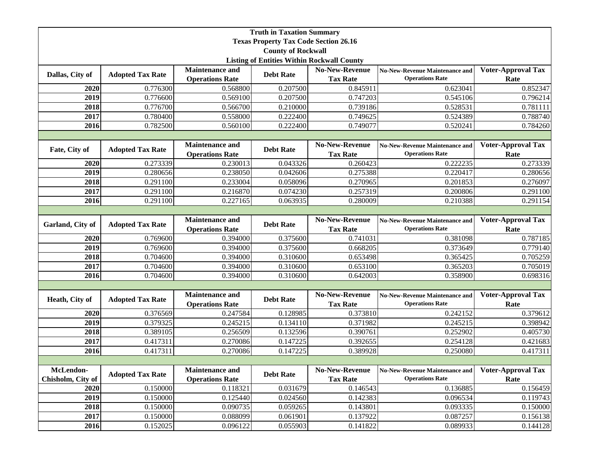|                                                   |                         |                                                  | <b>Truth in Taxation Summary</b> |                                          |                                                                 |                                   |  |
|---------------------------------------------------|-------------------------|--------------------------------------------------|----------------------------------|------------------------------------------|-----------------------------------------------------------------|-----------------------------------|--|
| <b>Texas Property Tax Code Section 26.16</b>      |                         |                                                  |                                  |                                          |                                                                 |                                   |  |
|                                                   |                         |                                                  | <b>County of Rockwall</b>        |                                          |                                                                 |                                   |  |
| <b>Listing of Entities Within Rockwall County</b> |                         |                                                  |                                  |                                          |                                                                 |                                   |  |
| Dallas, City of                                   | <b>Adopted Tax Rate</b> | <b>Maintenance and</b>                           | <b>Debt Rate</b>                 | <b>No-New-Revenue</b>                    | <b>No-New-Revenue Maintenance and</b>                           | <b>Voter-Approval Tax</b>         |  |
|                                                   |                         | <b>Operations Rate</b>                           |                                  | <b>Tax Rate</b>                          | <b>Operations Rate</b>                                          | Rate                              |  |
| 2020                                              | 0.776300                | 0.568800                                         | 0.207500                         | 0.845911                                 | 0.623041                                                        | 0.852347                          |  |
| 2019                                              | 0.776600                | 0.569100                                         | 0.207500                         | 0.747203                                 | 0.545106                                                        | 0.796214                          |  |
| 2018                                              | 0.776700                | 0.566700                                         | 0.210000                         | 0.739186                                 | 0.528531                                                        | 0.781111                          |  |
| 2017                                              | 0.780400                | 0.558000                                         | 0.222400                         | 0.749625                                 | 0.524389                                                        | 0.788740                          |  |
| 2016                                              | 0.782500                | 0.560100                                         | 0.222400                         | 0.749077                                 | 0.520241                                                        | 0.784260                          |  |
|                                                   |                         |                                                  |                                  |                                          |                                                                 |                                   |  |
| Fate, City of                                     | <b>Adopted Tax Rate</b> | <b>Maintenance and</b>                           | <b>Debt Rate</b>                 | <b>No-New-Revenue</b>                    | <b>No-New-Revenue Maintenance and</b>                           | <b>Voter-Approval Tax</b>         |  |
|                                                   |                         | <b>Operations Rate</b>                           |                                  | <b>Tax Rate</b>                          | <b>Operations Rate</b>                                          | Rate                              |  |
| 2020                                              | $\overline{0.273339}$   | 0.230013                                         | 0.043326                         | 0.260423                                 | 0.222235                                                        | 0.273339                          |  |
| 2019                                              | 0.280656                | 0.238050                                         | 0.042606                         | 0.275388                                 | 0.220417                                                        | 0.280656                          |  |
| 2018                                              | 0.291100                | 0.233004                                         | 0.058096                         | 0.270965                                 | 0.201853                                                        | 0.276097                          |  |
| 2017                                              | 0.291100                | 0.216870                                         | 0.074230                         | 0.257319                                 | 0.200806                                                        | 0.291100                          |  |
| 2016                                              | 0.291100                | 0.227165                                         | 0.063935                         | 0.280009                                 | 0.210388                                                        | 0.291154                          |  |
|                                                   |                         |                                                  |                                  |                                          |                                                                 |                                   |  |
| Garland, City of                                  | <b>Adopted Tax Rate</b> | <b>Maintenance and</b><br><b>Operations Rate</b> | <b>Debt Rate</b>                 | <b>No-New-Revenue</b><br><b>Tax Rate</b> | <b>No-New-Revenue Maintenance and</b><br><b>Operations Rate</b> | <b>Voter-Approval Tax</b><br>Rate |  |
| 2020                                              | 0.769600                | 0.394000                                         | 0.375600                         | 0.741031                                 | 0.381098                                                        | 0.787185                          |  |
| 2019                                              | 0.769600                | 0.394000                                         | 0.375600                         | 0.668205                                 | 0.373649                                                        | 0.779140                          |  |
| 2018                                              | 0.704600                | 0.394000                                         | 0.310600                         | 0.653498                                 | 0.365425                                                        | 0.705259                          |  |
| 2017                                              | 0.704600                | 0.394000                                         | 0.310600                         | 0.653100                                 | 0.365203                                                        | 0.705019                          |  |
| 2016                                              | 0.704600                | 0.394000                                         | 0.310600                         | 0.642003                                 | 0.358900                                                        | 0.698316                          |  |
|                                                   |                         |                                                  |                                  |                                          |                                                                 |                                   |  |
| Heath, City of                                    | <b>Adopted Tax Rate</b> | <b>Maintenance and</b><br><b>Operations Rate</b> | <b>Debt Rate</b>                 | <b>No-New-Revenue</b><br><b>Tax Rate</b> | <b>No-New-Revenue Maintenance and</b><br><b>Operations Rate</b> | <b>Voter-Approval Tax</b><br>Rate |  |
| 2020                                              | 0.376569                | 0.247584                                         | 0.128985                         | 0.373810                                 | 0.242152                                                        | 0.379612                          |  |
| 2019                                              | 0.379325                | 0.245215                                         | 0.134110                         | 0.371982                                 | 0.245215                                                        | 0.398942                          |  |
| 2018                                              | 0.389105                | 0.256509                                         | 0.132596                         | 0.390761                                 | 0.252902                                                        | 0.405730                          |  |
| 2017                                              | 0.417311                | 0.270086                                         | 0.147225                         | 0.392655                                 | 0.254128                                                        | 0.421683                          |  |
| 2016                                              | 0.417311                | 0.270086                                         | 0.147225                         | 0.389928                                 | 0.250080                                                        | 0.417311                          |  |
|                                                   |                         |                                                  |                                  |                                          |                                                                 |                                   |  |
| McLendon-<br>Chisholm, City of                    | <b>Adopted Tax Rate</b> | Maintenance and<br><b>Operations Rate</b>        | <b>Debt Rate</b>                 | No-New-Revenue<br><b>Tax Rate</b>        | <b>No-New-Revenue Maintenance and</b><br><b>Operations Rate</b> | <b>Voter-Approval Tax</b><br>Rate |  |
| 2020                                              | 0.150000                | 0.118321                                         | 0.031679                         | 0.146543                                 | 0.136885                                                        | 0.156459                          |  |
| 2019                                              | 0.150000                | 0.125440                                         | 0.024560                         | 0.142383                                 | 0.096534                                                        | 0.119743                          |  |
| 2018                                              | 0.150000                | 0.090735                                         | 0.059265                         | 0.143801                                 | 0.093335                                                        | 0.150000                          |  |
| 2017                                              | 0.150000                | 0.088099                                         | 0.061901                         | 0.137922                                 | 0.087257                                                        | 0.156138                          |  |
| 2016                                              | 0.152025                | 0.096122                                         | 0.055903                         | 0.141822                                 | 0.089933                                                        | 0.144128                          |  |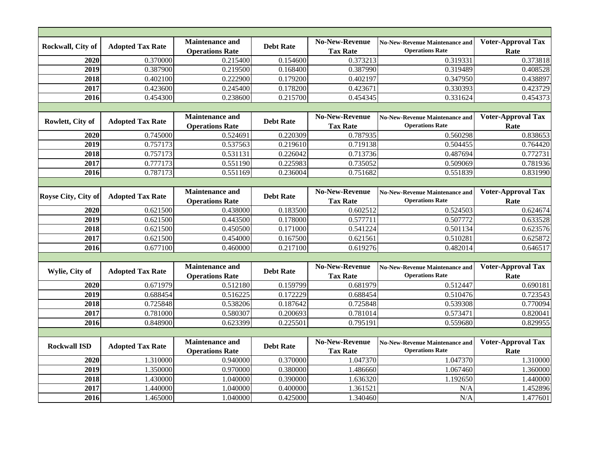| Rockwall, City of   | <b>Adopted Tax Rate</b> | <b>Maintenance and</b><br><b>Operations Rate</b> | <b>Debt Rate</b> | <b>No-New-Revenue</b><br><b>Tax Rate</b> | <b>No-New-Revenue Maintenance and</b><br><b>Operations Rate</b> | <b>Voter-Approval Tax</b><br>Rate |  |  |
|---------------------|-------------------------|--------------------------------------------------|------------------|------------------------------------------|-----------------------------------------------------------------|-----------------------------------|--|--|
| 2020                | 0.370000                | 0.215400                                         | 0.154600         | 0.373213                                 | 0.319331                                                        | 0.373818                          |  |  |
| 2019                | 0.387900                | 0.219500                                         | 0.168400         | 0.387990                                 | 0.319489                                                        | 0.408528                          |  |  |
| 2018                | 0.402100                | 0.222900                                         | 0.179200         | 0.402197                                 | 0.347950                                                        | 0.438897                          |  |  |
| 2017                | 0.423600                | 0.245400                                         | 0.178200         | 0.423671                                 | 0.330393                                                        | 0.423729                          |  |  |
| 2016                | 0.454300                | 0.238600                                         | 0.215700         | 0.454345                                 | 0.331624                                                        | 0.454373                          |  |  |
|                     |                         |                                                  |                  |                                          |                                                                 |                                   |  |  |
| Rowlett, City of    | <b>Adopted Tax Rate</b> | <b>Maintenance and</b><br><b>Operations Rate</b> | <b>Debt Rate</b> | <b>No-New-Revenue</b><br><b>Tax Rate</b> | <b>No-New-Revenue Maintenance and</b><br><b>Operations Rate</b> | <b>Voter-Approval Tax</b><br>Rate |  |  |
| 2020                | 0.745000                | 0.524691                                         | 0.220309         | 0.787935                                 | 0.560298                                                        | 0.838653                          |  |  |
| 2019                | 0.757173                | 0.537563                                         | 0.219610         | 0.719138                                 | 0.504455                                                        | 0.764420                          |  |  |
| 2018                | 0.757173                | 0.531131                                         | 0.226042         | 0.713736                                 | 0.487694                                                        | 0.772731                          |  |  |
| 2017                | 0.777173                | 0.551190                                         | 0.225983         | 0.735052                                 | 0.509069                                                        | 0.781936                          |  |  |
| 2016                | 0.787173                | 0.551169                                         | 0.236004         | 0.751682                                 | 0.551839                                                        | 0.831990                          |  |  |
|                     |                         |                                                  |                  |                                          |                                                                 |                                   |  |  |
| Royse City, City of | <b>Adopted Tax Rate</b> | <b>Maintenance and</b><br><b>Operations Rate</b> | <b>Debt Rate</b> | <b>No-New-Revenue</b><br><b>Tax Rate</b> | <b>No-New-Revenue Maintenance and</b><br><b>Operations Rate</b> | <b>Voter-Approval Tax</b><br>Rate |  |  |
| 2020                | 0.621500                | 0.438000                                         | 0.183500         | 0.602512                                 | 0.524503                                                        | 0.624674                          |  |  |
| 2019                | 0.621500                | 0.443500                                         | 0.178000         | 0.577711                                 | 0.507772                                                        | 0.633528                          |  |  |
| 2018                | 0.621500                | 0.450500                                         | 0.171000         | 0.541224                                 | 0.501134                                                        | 0.623576                          |  |  |
| 2017                | 0.621500                | 0.454000                                         | 0.167500         | 0.621561                                 | 0.510281                                                        | 0.625872                          |  |  |
| 2016                | 0.677100                | 0.460000                                         | 0.217100         | 0.619276                                 | 0.482014                                                        | 0.646517                          |  |  |
|                     |                         |                                                  |                  |                                          |                                                                 |                                   |  |  |
| Wylie, City of      | <b>Adopted Tax Rate</b> | <b>Maintenance and</b><br><b>Operations Rate</b> | <b>Debt Rate</b> | <b>No-New-Revenue</b><br><b>Tax Rate</b> | <b>No-New-Revenue Maintenance and</b><br><b>Operations Rate</b> | <b>Voter-Approval Tax</b><br>Rate |  |  |
| 2020                | 0.671979                | 0.512180                                         | 0.159799         | 0.681979                                 | 0.512447                                                        | 0.690181                          |  |  |
| 2019                | 0.688454                | 0.516225                                         | 0.172229         | 0.688454                                 | 0.510476                                                        | 0.723543                          |  |  |
| 2018                | 0.725848                | 0.538206                                         | 0.187642         | 0.725848                                 | 0.539308                                                        | 0.770094                          |  |  |
| 2017                | 0.781000                | 0.580307                                         | 0.200693         | 0.781014                                 | 0.573471                                                        | 0.820041                          |  |  |
| 2016                | 0.848900                | 0.623399                                         | 0.225501         | 0.795191                                 | 0.559680                                                        | 0.829955                          |  |  |
|                     |                         |                                                  |                  |                                          |                                                                 |                                   |  |  |
| <b>Rockwall ISD</b> | <b>Adopted Tax Rate</b> | <b>Maintenance and</b><br><b>Operations Rate</b> | <b>Debt Rate</b> | No-New-Revenue<br><b>Tax Rate</b>        | <b>No-New-Revenue Maintenance and</b><br><b>Operations Rate</b> | <b>Voter-Approval Tax</b><br>Rate |  |  |
| 2020                | 1.310000                | 0.940000                                         | 0.370000         | 1.047370                                 | 1.047370                                                        | 1.310000                          |  |  |
| 2019                | 1.350000                | 0.970000                                         | 0.380000         | 1.486660                                 | 1.067460                                                        | 1.360000                          |  |  |
| 2018                | 1.430000                | 1.040000                                         | 0.390000         | 1.636320                                 | 1.192650                                                        | 1.440000                          |  |  |
| 2017                | 1.440000                | 1.040000                                         | 0.400000         | 1.361521                                 | N/A                                                             | 1.452896                          |  |  |
| 2016                | 1.465000                | 1.040000                                         | 0.425000         | 1.340460                                 | N/A                                                             | 1.477601                          |  |  |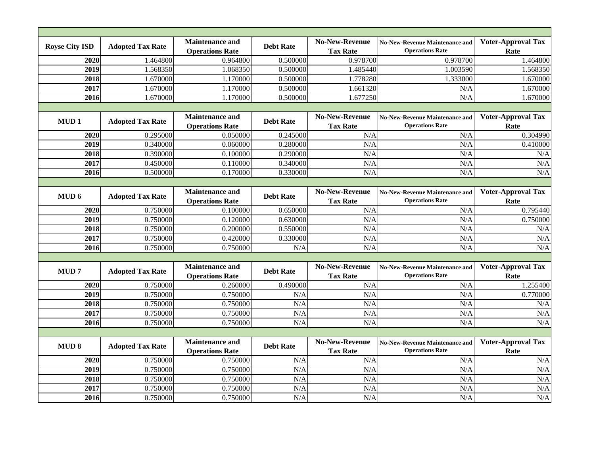| <b>Royse City ISD</b> | <b>Adopted Tax Rate</b>                     | <b>Maintenance and</b> | <b>Debt Rate</b> | <b>No-New-Revenue</b> | <b>No-New-Revenue Maintenance and</b> | <b>Voter-Approval Tax</b> |
|-----------------------|---------------------------------------------|------------------------|------------------|-----------------------|---------------------------------------|---------------------------|
|                       |                                             | <b>Operations Rate</b> |                  | <b>Tax Rate</b>       | <b>Operations Rate</b>                | Rate                      |
| 2020                  | 1.464800                                    | 0.964800               | 0.500000         | 0.978700              | 0.978700                              | 1.464800                  |
| 2019                  | 1.568350                                    | 1.068350               | 0.500000         | 1.485440              | 1.003590                              | 1.568350                  |
| 2018                  | 1.670000                                    | 1.170000               | 0.500000         | 1.778280              | 1.333000                              | 1.670000                  |
| 2017                  | 1.670000                                    | 1.170000               | 0.500000         | 1.661320              | N/A                                   | 1.670000                  |
| 2016                  | 1.670000                                    | 1.170000               | 0.500000         | 1.677250              | N/A                                   | 1.670000                  |
|                       |                                             |                        |                  |                       |                                       |                           |
|                       | MUD <sub>1</sub><br><b>Adopted Tax Rate</b> | <b>Maintenance and</b> |                  | <b>No-New-Revenue</b> | <b>No-New-Revenue Maintenance and</b> | <b>Voter-Approval Tax</b> |
|                       |                                             | <b>Operations Rate</b> | <b>Debt Rate</b> | <b>Tax Rate</b>       | <b>Operations Rate</b>                | Rate                      |
| 2020                  | 0.295000                                    | 0.050000               | 0.245000         | N/A                   | N/A                                   | 0.304990                  |
| 2019                  | 0.340000                                    | 0.060000               | 0.280000         | N/A                   | N/A                                   | 0.410000                  |
| 2018                  | 0.390000                                    | 0.100000               | 0.290000         | N/A                   | N/A                                   | N/A                       |
| 2017                  | 0.450000                                    | 0.110000               | 0.340000         | N/A                   | N/A                                   | N/A                       |
| 2016                  | 0.500000                                    | 0.170000               | 0.330000         | N/A                   | N/A                                   | N/A                       |
|                       |                                             |                        |                  |                       |                                       |                           |
| MUD <sub>6</sub>      |                                             | <b>Maintenance and</b> | <b>Debt Rate</b> | <b>No-New-Revenue</b> | <b>No-New-Revenue Maintenance and</b> | <b>Voter-Approval Tax</b> |
|                       | <b>Adopted Tax Rate</b>                     | <b>Operations Rate</b> |                  | <b>Tax Rate</b>       | <b>Operations Rate</b>                | Rate                      |
| 2020                  | 0.750000                                    | 0.100000               | 0.650000         | N/A                   | N/A                                   | 0.795440                  |
| 2019                  | 0.750000                                    | 0.120000               | 0.630000         | N/A                   | N/A                                   | 0.750000                  |
| 2018                  | 0.750000                                    | 0.200000               | 0.550000         | N/A                   | N/A                                   | N/A                       |
| 2017                  | 0.750000                                    | 0.420000               | 0.330000         | N/A                   | N/A                                   | N/A                       |
| 2016                  | 0.750000                                    | 0.750000               | N/A              | N/A                   | N/A                                   | N/A                       |
|                       |                                             |                        |                  |                       |                                       |                           |
| MUD <sub>7</sub>      |                                             | <b>Maintenance and</b> | <b>Debt Rate</b> | <b>No-New-Revenue</b> | <b>No-New-Revenue Maintenance and</b> | <b>Voter-Approval Tax</b> |
|                       | <b>Adopted Tax Rate</b>                     | <b>Operations Rate</b> |                  | <b>Tax Rate</b>       | <b>Operations Rate</b>                | Rate                      |
| 2020                  | 0.750000                                    | 0.260000               | 0.490000         | N/A                   | N/A                                   | 1.255400                  |
| 2019                  | 0.750000                                    | 0.750000               | N/A              | N/A                   | N/A                                   | 0.770000                  |
| 2018                  | 0.750000                                    | 0.750000               | N/A              | N/A                   | N/A                                   | N/A                       |
| 2017                  | 0.750000                                    | 0.750000               | N/A              | N/A                   | N/A                                   | N/A                       |
| 2016                  | 0.750000                                    | 0.750000               | N/A              | N/A                   | N/A                                   | N/A                       |
|                       |                                             |                        |                  |                       |                                       |                           |
|                       |                                             | Maintenance and        |                  | <b>No-New-Revenue</b> | <b>No-New-Revenue Maintenance and</b> | <b>Voter-Approval Tax</b> |
| <b>MUD 8</b>          | <b>Adopted Tax Rate</b>                     | <b>Operations Rate</b> | <b>Debt Rate</b> | <b>Tax Rate</b>       | <b>Operations Rate</b>                | Rate                      |
| 2020                  | 0.750000                                    | 0.750000               | N/A              | N/A                   | N/A                                   | N/A                       |
| 2019                  | 0.750000                                    | 0.750000               | N/A              | N/A                   | N/A                                   | N/A                       |
| 2018                  | 0.750000                                    | 0.750000               | N/A              | N/A                   | N/A                                   | N/A                       |
| 2017                  | 0.750000                                    | 0.750000               | N/A              | N/A                   | N/A                                   | N/A                       |
| 2016                  | 0.750000                                    | 0.750000               | N/A              | N/A                   | N/A                                   | N/A                       |